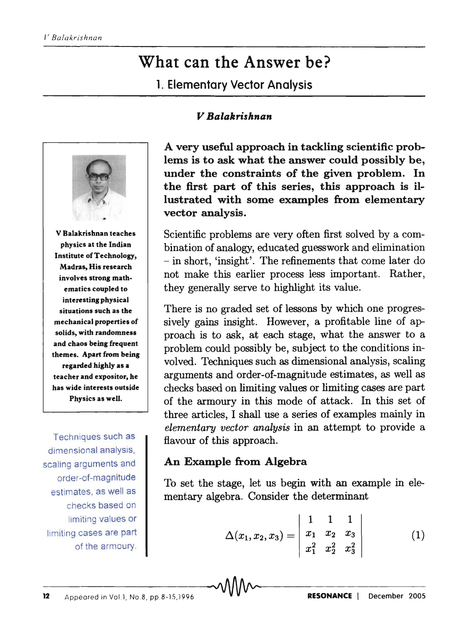# What can the Answer be?

1. Elementary Vector Analysis

### *V Balakrishnan*



V Balakrishnan teaches physics at the Indian Institute of Technology, Madras, His research involves strong mathematics coupled to interesting physical situations such as the mechanical properties of solids, with randomness and chaos being frequent themes. Apart from being regarded highly as a teacher and expositor, he has wide interests outside Physics as well.

Techniques such as dimensional analysis, scaling arguments and order-of-magnitude estimates, as well as checks based on limiting values or limiting cases are part of the armoury.

A very useful approach in tackling scientific problems is to ask what the answer could possibly be, under the constraints of the given problem. In the first part of this series, this approach is illustrated with some examples from elementary vector analysis.

Scientific problems are very often first solved by a combination of analogy, educated guesswork and elimination - in short, 'insight'. The refinements that come later do not make this earlier process less important. Rather, they generally serve to highlight its value.

There is no graded set of lessons by which one progressively gains insight. However, a profitable line of approach is to ask, at each stage, what the answer to a problem could possibly be, subject to the conditions involved. Techniques such as dimensional analysis, scaling arguments and order-of-magnitude estimates, as well as checks based on limiting values or limiting cases are part of the armoury in this mode of attack. In this set of three articles, I shall use a series of examples mainly in *elementary vector analysis* in an attempt to provide a flavour of this approach.

## An Example from Algebra

To set the stage, let us begin with an example in elementary algebra. Consider the determinant

$$
\Delta(x_1,x_2,x_3)=\left|\begin{array}{ccc}1&1&1\\x_1&x_2&x_3\\x_1^2&x_2^2&x_3^2\end{array}\right|\hspace{1.5cm}(1)
$$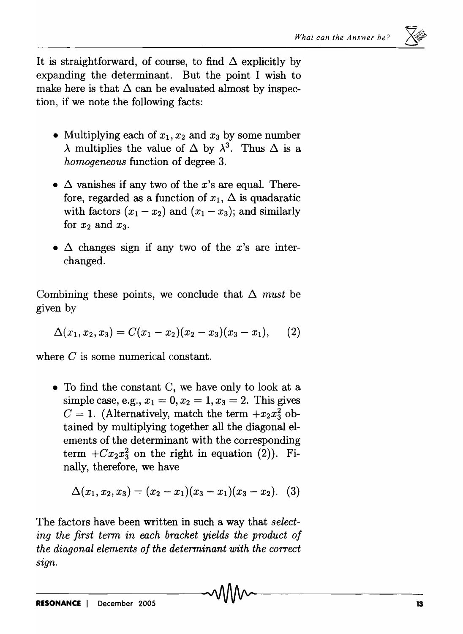It is straightforward, of course, to find  $\Delta$  explicitly by expanding the determinant. But the point I wish to make here is that  $\Delta$  can be evaluated almost by inspection, if we note the following facts:

- Multiplying each of  $x_1, x_2$  and  $x_3$  by some number  $\lambda$  multiplies the value of  $\Delta$  by  $\lambda^3$ . Thus  $\Delta$  is a *homogeneous* function of degree 3.
- $\Delta$  vanishes if any two of the x's are equal. Therefore, regarded as a function of  $x_1$ ,  $\Delta$  is quadaratic with factors  $(x_1 - x_2)$  and  $(x_1 - x_3)$ ; and similarly for  $x_2$  and  $x_3$ .
- $\Delta$  changes sign if any two of the *x*'s are interchanged.

Combining these points, we conclude that  $\Delta$  *must* be given by

$$
\Delta(x_1,x_2,x_3)=C(x_1-x_2)(x_2-x_3)(x_3-x_1),\qquad (2)
$$

where C is some numerical constant.

• To find the constant C, we have only to look at a simple case, e.g.,  $x_1 = 0, x_2 = 1, x_3 = 2$ . This gives  $C = 1$ . (Alternatively, match the term  $+x_2x_3^2$  obtained by multiplying together all the diagonal elements of the determinant with the corresponding term  $+Cx_2x_3^2$  on the right in equation (2)). Finally, therefore, we have

$$
\Delta(x_1,x_2,x_3)=(x_2-x_1)(x_3-x_1)(x_3-x_2). (3)
$$

The factors have been written in such a way that *selecting the first term in each bracket yields the product of the diagonal elements of the determinant with the correct sign.*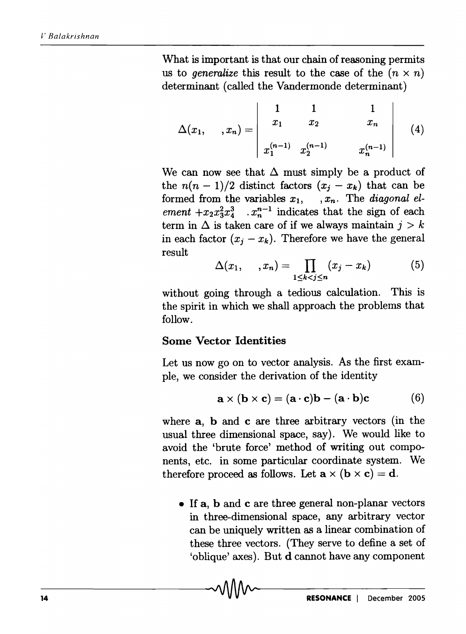What is important is that our chain of reasoning permits us to *generalize* this result to the case of the  $(n \times n)$ determinant (called the Vandermonde determinant)

$$
\Delta(x_1, \ldots, x_n) = \begin{vmatrix} 1 & 1 & 1 \\ x_1 & x_2 & x_n \\ x_1^{(n-1)} & x_2^{(n-1)} & x_n^{(n-1)} \end{vmatrix}
$$
 (4)

We can now see that  $\Delta$  must simply be a product of the  $n(n-1)/2$  distinct factors  $(x_i - x_k)$  that can be formed from the variables  $x_1$ ,  $x_n$ . The *diagonal element*  $+x_2x_3^2x_4^3$  .  $x_n^{n-1}$  indicates that the sign of each term in  $\Delta$  is taken care of if we always maintain  $j > k$ in each factor  $(x_i - x_k)$ . Therefore we have the general result

$$
\Delta(x_1, \ldots, x_n) = \prod_{1 \leq k < j \leq n} (x_j - x_k) \tag{5}
$$

without going through a tedious calculation. This is the spirit in which we shall approach the problems that follow.

#### Some Vector Identities

-14----------------------------~~-------------------------

Let us now go on to vector analysis. As the first example, we consider the derivation of the identity

$$
\mathbf{a} \times (\mathbf{b} \times \mathbf{c}) = (\mathbf{a} \cdot \mathbf{c})\mathbf{b} - (\mathbf{a} \cdot \mathbf{b})\mathbf{c}
$$
 (6)

where **a**, **b** and **c** are three arbitrary vectors (in the usual three dimensional space, say). We would like to avoid the 'brute force' method of writing out components, etc. in some particular coordinate system. We therefore proceed as follows. Let  $\mathbf{a} \times (\mathbf{b} \times \mathbf{c}) = \mathbf{d}$ .

• If a, b and c are three general non-planar vectors in three-dimensional space, any arbitrary vector can be uniquely written as a linear combination of these three vectors. (They serve to define a set of 'oblique' axes). But d cannot have any component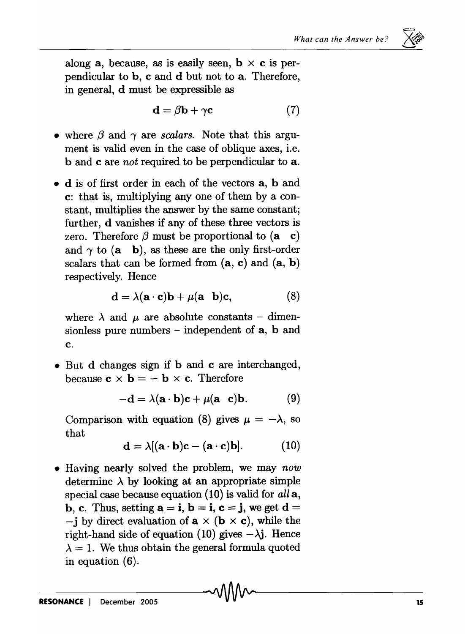$\times~\mathbb{R}^3$ 

along a, because, as is easily seen,  $\mathbf{b} \times \mathbf{c}$  is perpendicular to b, c and d but not to a. Therefore, in general, d must be expressible as

$$
\mathbf{d} = \beta \mathbf{b} + \gamma \mathbf{c} \tag{7}
$$

- where  $\beta$  and  $\gamma$  are *scalars*. Note that this argument is valid even in the case of oblique axes, i.e. band c are *not* required to be perpendicular to a.
- d is of first order in each of the vectors a, band c: that is, multiplying anyone of them by a constant, multiplies the answer by the same constant; further, d vanishes if any of these three vectors is zero. Therefore  $\beta$  must be proportional to  $(a \ c)$ and  $\gamma$  to (a b), as these are the only first-order scalars that can be formed from  $(a, c)$  and  $(a, b)$ respectively. Hence

$$
\mathbf{d} = \lambda (\mathbf{a} \cdot \mathbf{c}) \mathbf{b} + \mu (\mathbf{a} \quad \mathbf{b}) \mathbf{c}, \tag{8}
$$

where  $\lambda$  and  $\mu$  are absolute constants - dimensionless pure numbers  $-$  independent of  $a$ ,  $b$  and c.

• But **d** changes sign if **b** and **c** are interchanged, because  $c \times b = -b \times c$ . Therefore

$$
-\mathbf{d} = \lambda(\mathbf{a} \cdot \mathbf{b})\mathbf{c} + \mu(\mathbf{a} \ \mathbf{c})\mathbf{b}.
$$
 (9)

Comparison with equation (8) gives  $\mu = -\lambda$ , so that

$$
\mathbf{d} = \lambda [(\mathbf{a} \cdot \mathbf{b})\mathbf{c} - (\mathbf{a} \cdot \mathbf{c})\mathbf{b}]. \tag{10}
$$

• Having nearly solved the problem, we may *now*  determine  $\lambda$  by looking at an appropriate simple special case because equation (10) is valid for *all* a, b, c. Thus, setting  $\mathbf{a} = \mathbf{i}$ ,  $\mathbf{b} = \mathbf{i}$ ,  $\mathbf{c} = \mathbf{j}$ , we get  $\mathbf{d} =$  $-i$  by direct evaluation of  $a \times (b \times c)$ , while the right-hand side of equation (10) gives  $-\lambda$ j. Hence  $\lambda = 1$ . We thus obtain the general formula quoted in equation (6).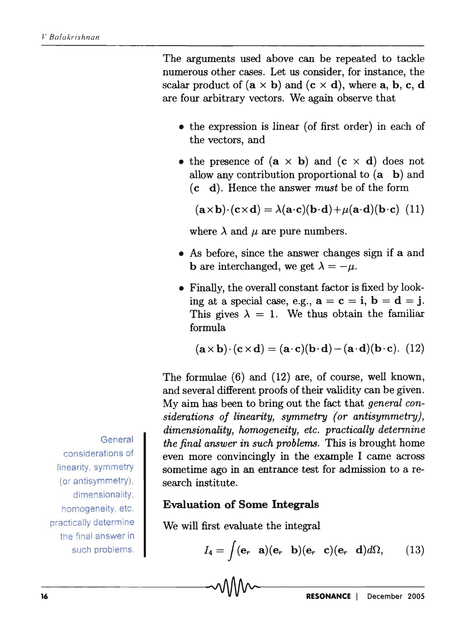The arguments used above can be repeated to tackle numerous other cases. Let us consider, for instance, the scalar product of  $(a \times b)$  and  $(c \times d)$ , where **a**, **b**, **c**, **d** are four arbitrary vectors. We again observe that

- the expression is linear (of first order) in each of the vectors, and
- the presence of  $(a \times b)$  and  $(c \times d)$  does not allow any contribution proportional to (a b) and ( c d). Hence the answer *must* be of the form

 $(\mathbf{a} \times \mathbf{b}) \cdot (\mathbf{c} \times \mathbf{d}) = \lambda(\mathbf{a} \cdot \mathbf{c})(\mathbf{b} \cdot \mathbf{d}) + \mu(\mathbf{a} \cdot \mathbf{d})(\mathbf{b} \cdot \mathbf{c})$  (11)

where  $\lambda$  and  $\mu$  are pure numbers.

- As before, since the answer changes sign if a and **b** are interchanged, we get  $\lambda = -\mu$ .
- Finally, the overall constant factor is fixed by looking at a special case, e.g.,  $\mathbf{a} = \mathbf{c} = \mathbf{i}$ ,  $\mathbf{b} = \mathbf{d} = \mathbf{j}$ . This gives  $\lambda = 1$ . We thus obtain the familiar formula

$$
(\mathbf{a} \times \mathbf{b}) \cdot (\mathbf{c} \times \mathbf{d}) = (\mathbf{a} \cdot \mathbf{c})(\mathbf{b} \cdot \mathbf{d}) - (\mathbf{a} \cdot \mathbf{d})(\mathbf{b} \cdot \mathbf{c}). \tag{12}
$$

The formulae (6) and (12) are, of course, well known, and several different proofs of their validity can be given. My aim has been to bring out the fact that *general considerations of linearity, symmetry (or antisymmetry), dimensionality, homogeneity, etc. practically determine the final answer in such problems.* This is brought home even more convincingly in the example I came across sometime ago in an entrance test for admission to a research institute.

#### **Evaluation of Some Integrals**

We will first evaluate the integral

$$
I_4 = \int (\mathbf{e}_r \quad \mathbf{a})(\mathbf{e}_r \quad \mathbf{b})(\mathbf{e}_r \quad \mathbf{c})(\mathbf{e}_r \quad \mathbf{d})d\Omega, \qquad (13)
$$

**General** considerations of

linearity, symmetry (or antisymmetry), dimensionality, homogeneity, etc. practically determine the final answer in such problems.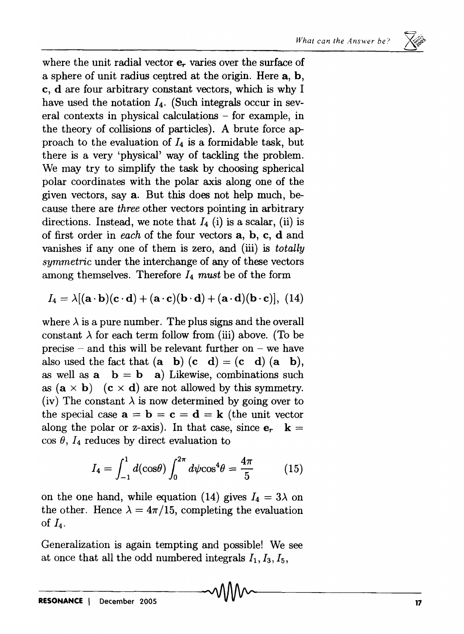

where the unit radial vector  $e_r$  varies over the surface of a sphere of unit radius centred at the origin. Here  $a, b$ , c, d are four arbitrary constant vectors, which is why I have used the notation  $I_4$ . (Such integrals occur in several contexts in physical calculations - for example, in the theory of collisions of particles). A brute force approach to the evaluation of  $I_4$  is a formidable task, but there is a very 'physical' way of tackling the problem. We may try to simplify the task by choosing spherical polar coordinates with the polar axis along one of the given vectors, saya. But this does not help much, because there are *three* other vectors pointing in arbitrary directions. Instead, we note that  $I_4$  (i) is a scalar, (ii) is of first order in *each* of the four vectors a, b, c, d and vanishes if anyone of them is zero, and (iii) is *totally symmetric* under the interchange of any of these vectors among themselves. Therefore 14 *must* be of the form

$$
I_4 = \lambda [(\mathbf{a} \cdot \mathbf{b})(\mathbf{c} \cdot \mathbf{d}) + (\mathbf{a} \cdot \mathbf{c})(\mathbf{b} \cdot \mathbf{d}) + (\mathbf{a} \cdot \mathbf{d})(\mathbf{b} \cdot \mathbf{c})], (14)
$$

where  $\lambda$  is a pure number. The plus signs and the overall constant  $\lambda$  for each term follow from (iii) above. (To be precise – and this will be relevant further on – we have also used the fact that  $(a \ b) (c \ d) = (c \ d) (a \ b)$ , as well as  $\mathbf{a} \cdot \mathbf{b} = \mathbf{b} \cdot \mathbf{a}$  Likewise, combinations such as  $(a \times b)$   $(c \times d)$  are not allowed by this symmetry. (iv) The constant  $\lambda$  is now determined by going over to the special case  $\mathbf{a} = \mathbf{b} = \mathbf{c} = \mathbf{d} = \mathbf{k}$  (the unit vector along the polar or z-axis). In that case, since  $e_r$   $\mathbf{k} =$  $\cos \theta$ ,  $I_4$  reduces by direct evaluation to

$$
I_4 = \int_{-1}^{1} d(\cos \theta) \int_{0}^{2\pi} d\psi \cos^4 \theta = \frac{4\pi}{5}
$$
 (15)

on the one hand, while equation (14) gives  $I_4 = 3\lambda$  on the other. Hence  $\lambda = 4\pi/15$ , completing the evaluation of  $I_4$ .

Generalization is again tempting and possible! We see at once that all the odd numbered integrals  $I_1$ ,  $I_3$ ,  $I_5$ , at once that all the odd numbered integrals  $I_1, I_3, I_5$ ,<br>  $\blacksquare$ <br>  $\blacksquare$ <br>  $\blacksquare$ <br>  $\blacksquare$ <br>  $\blacksquare$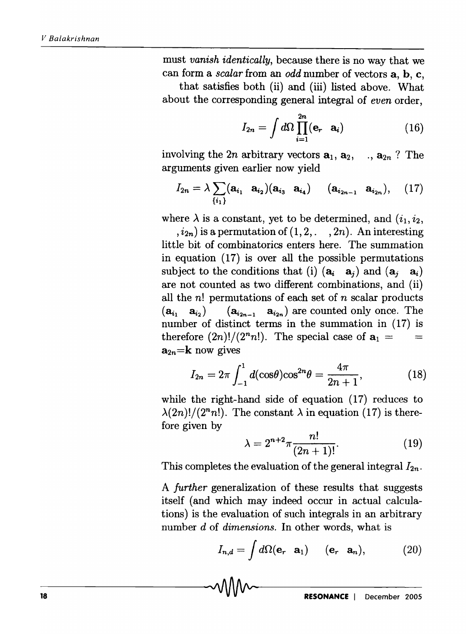must *vanish identically,* because there is no way that we can form a *scalar* from an *odd* number of vectors a, b, c,

that satisfies both (ii) and (iii) listed above. What about the corresponding general integral of *even* order,

$$
I_{2n} = \int d\Omega \prod_{i=1}^{2n} (\mathbf{e}_r \quad \mathbf{a}_i)
$$
 (16)

involving the 2n arbitrary vectors  $a_1, a_2, \ldots, a_{2n}$ ? The arguments given earlier now yield

$$
I_{2n} = \lambda \sum_{\{i_1\}} (\mathbf{a}_{i_1} \ \mathbf{a}_{i_2}) (\mathbf{a}_{i_3} \ \mathbf{a}_{i_4}) \qquad (\mathbf{a}_{i_{2n-1}} \ \mathbf{a}_{i_{2n}}), \qquad (17)
$$

where  $\lambda$  is a constant, yet to be determined, and  $(i_1, i_2, ...)$ 

 $(i_{2n})$  is a permutation of  $(1, 2, \ldots, 2n)$ . An interesting little bit of combinatorics enters here. The summation in equation (17) is over all the possible permutations subject to the conditions that (i)  $(a_i \ a_j)$  and  $(a_i \ a_i)$ are not counted as two different combinations, and (ii) all the *n!* permutations of each set of *n* scalar products  $(a_{i_1} \ a_{i_2}) \quad (a_{i_2n-1} \ a_{i_2n})$  are counted only once. The number of distinct terms in the summation in (17) is therefore  $(2n)!/(2<sup>n</sup>n!)$ . The special case of  $a_1 =$  $=$  $a_{2n}$ =**k** now gives

$$
I_{2n} = 2\pi \int_{-1}^{1} d(\cos \theta) \cos^{2n} \theta = \frac{4\pi}{2n+1},
$$
 (18)

while the right-hand side of equation (17) reduces to  $\lambda(2n)!/(2<sup>n</sup>n!)$ . The constant  $\lambda$  in equation (17) is therefore given by

$$
\lambda = 2^{n+2} \pi \frac{n!}{(2n+1)!}.
$$
 (19)

This completes the evaluation of the general integral  $I_{2n}$ .

A *further* generalization of these results that suggests itself (and which may indeed occur in actual calculations) is the evaluation of such integrals in an arbitrary number *d* of *dimensions.* In other words, what is

$$
I_{n,d} = \int d\Omega (\mathbf{e}_r \quad \mathbf{a}_1) \qquad (\mathbf{e}_r \quad \mathbf{a}_n), \tag{20}
$$